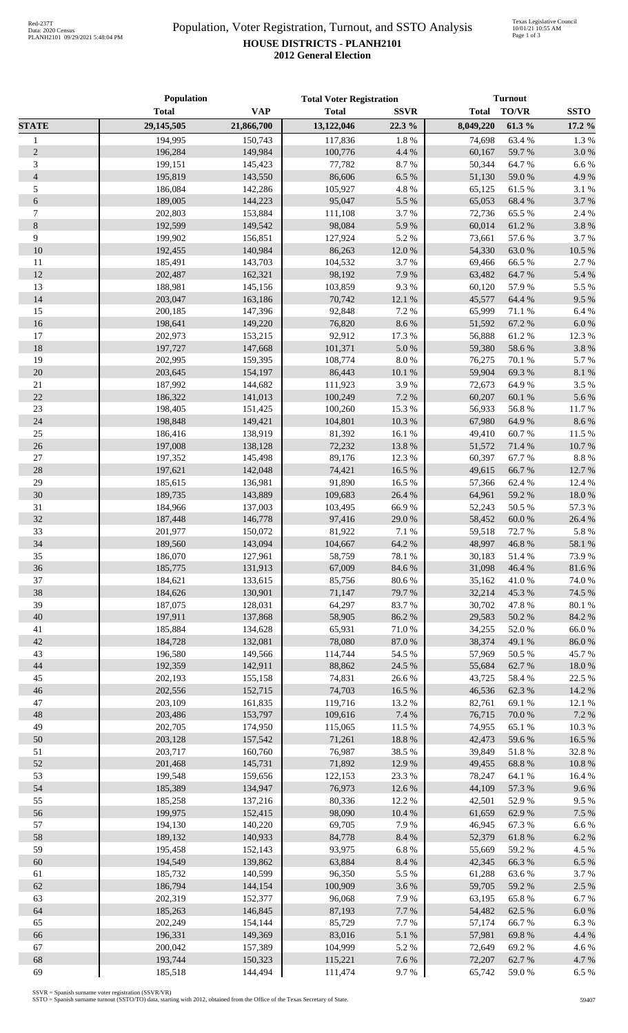## Population, Voter Registration, Turnout, and SSTO Analysis **HOUSE DISTRICTS - PLANH2101 2012 General Election**

|                | Population   |            | <b>Total Voter Registration</b> |             | <b>Turnout</b> |              |             |
|----------------|--------------|------------|---------------------------------|-------------|----------------|--------------|-------------|
|                | <b>Total</b> | <b>VAP</b> | <b>Total</b>                    | <b>SSVR</b> | <b>Total</b>   | <b>TO/VR</b> | <b>SSTO</b> |
| <b>STATE</b>   | 29,145,505   | 21,866,700 | 13,122,046                      | 22.3 %      | 8,049,220      | 61.3%        | 17.2 %      |
| $\mathbf{1}$   | 194,995      | 150,743    | 117,836                         | 1.8 %       | 74,698         | 63.4%        | 1.3 %       |
| $\sqrt{2}$     | 196,284      | 149,984    | 100,776                         | 4.4 %       | 60,167         | 59.7%        | 3.0%        |
| $\mathfrak{Z}$ | 199,151      | 145,423    | 77,782                          | 8.7%        | 50,344         | 64.7%        | 6.6%        |
| $\overline{4}$ | 195,819      | 143,550    | 86,606                          | 6.5%        | 51,130         | 59.0%        | 4.9%        |
| $\sqrt{5}$     | 186,084      | 142,286    | 105,927                         | 4.8 %       | 65,125         | 61.5%        | 3.1 %       |
| $\sqrt{6}$     | 189,005      | 144,223    | 95,047                          | 5.5 %       | 65,053         | 68.4%        | 3.7%        |
| $\tau$         | 202,803      | 153,884    | 111,108                         | 3.7%        | 72,736         | 65.5 %       | 2.4 %       |
| $8\,$          | 192,599      | 149,542    | 98,084                          | 5.9%        | 60,014         | 61.2%        | 3.8%        |
| 9              | 199,902      | 156,851    | 127,924                         | 5.2%        | 73,661         | 57.6 %       | 3.7%        |
| 10             | 192,455      | 140,984    | 86,263                          | 12.0%       | 54,330         | 63.0%        | 10.5 %      |
| 11             | 185,491      | 143,703    | 104,532                         | 3.7%        | 69,466         | 66.5%        | 2.7 %       |
| 12             | 202,487      | 162,321    | 98,192                          | 7.9%        | 63,482         | 64.7%        | 5.4 %       |
| 13             | 188,981      | 145,156    | 103,859                         | 9.3%        | 60,120         | 57.9%        | 5.5 %       |
| 14             | 203,047      | 163,186    | 70,742                          | 12.1 %      | 45,577         | 64.4 %       | 9.5%        |
| 15             | 200,185      | 147,396    | 92,848                          | 7.2 %       | 65,999         | 71.1 %       | 6.4 %       |
| 16             | 198,641      | 149,220    | 76,820                          | 8.6%        | 51,592         | 67.2%        | $6.0~\%$    |
| 17             | 202,973      | 153,215    | 92,912                          | 17.3 %      | 56,888         | 61.2%        | 12.3 %      |
| $18\,$         | 197,727      | 147,668    | 101,371                         | $5.0\ \%$   | 59,380         | 58.6%        | 3.8%        |
| 19             | 202,995      | 159,395    | 108,774                         | $8.0\ \%$   | 76,275         | 70.1 %       | 5.7%        |
| 20             | 203,645      | 154,197    | 86,443                          | $10.1~\%$   | 59,904         | 69.3%        | $8.1~\%$    |
| $21\,$         | 187,992      | 144,682    | 111,923                         | 3.9%        | 72,673         | 64.9%        | 3.5%        |
| 22             | 186,322      | 141,013    | 100,249                         | 7.2 %       | 60,207         | 60.1 %       | 5.6%        |
| $23\,$         | 198,405      | 151,425    | 100,260                         | 15.3 %      | 56,933         | 56.8%        | 11.7%       |
| 24             | 198,848      | 149,421    | 104,801                         | 10.3 %      | 67,980         | 64.9%        | 8.6%        |
| $25\,$         | 186,416      | 138,919    | 81,392                          | 16.1 %      | 49,410         | 60.7%        | 11.5 %      |
| 26             | 197,008      | 138,128    | 72,232                          | 13.8 %      | 51,572         | 71.4 %       | 10.7 %      |
| $27\,$         | 197,352      | 145,498    | 89,176                          | 12.3 %      | 60,397         | 67.7%        | $8.8\ \%$   |
| 28             | 197,621      | 142,048    | 74,421                          | 16.5 %      | 49,615         | 66.7%        | 12.7 %      |
| 29             | 185,615      | 136,981    | 91,890                          | 16.5 %      | 57,366         | 62.4%        | 12.4 %      |
| 30             | 189,735      | 143,889    | 109,683                         | 26.4 %      | 64,961         | 59.2 %       | $18.0~\%$   |
| 31             | 184,966      | 137,003    | 103,495                         | 66.9%       | 52,243         | 50.5 %       | 57.3 %      |
| 32             | 187,448      | 146,778    | 97,416                          | 29.0%       | 58,452         | 60.0%        | 26.4 %      |
| 33             | 201,977      | 150,072    | 81,922                          | $7.1\ \%$   | 59,518         | 72.7 %       | $5.8~\%$    |
| 34             | 189,560      | 143,094    | 104,667                         | 64.2 %      | 48,997         | 46.8%        | 58.1 %      |
| 35             | 186,070      | 127,961    | 58,759                          | 78.1%       | 30,183         | 51.4%        | 73.9%       |
| 36             | 185,775      | 131,913    | 67,009                          | 84.6 %      | 31,098         | 46.4 %       | 81.6 %      |
| 37             | 184,621      | 133,615    | 85,756                          | $80.6\;\%$  | 35,162         | 41.0%        | 74.0 %      |
| 38             | 184,626      | 130,901    | 71,147                          | 79.7%       | 32,214         | 45.3 %       | 74.5 %      |
| 39             | 187,075      | 128,031    | 64,297                          | 83.7%       | 30,702         | 47.8%        | $80.1~\%$   |
| 40             | 197,911      | 137,868    | 58,905                          | 86.2%       | 29,583         | 50.2 %       | 84.2 %      |
| 41             | 185,884      | 134,628    | 65,931                          | 71.0%       | 34,255         | 52.0%        | $66.0\;\%$  |
| 42             | 184,728      | 132,081    | 78,080                          | 87.0 %      | 38,374         | 49.1 %       | $86.0\;\%$  |
| 43             | 196,580      | 149,566    | 114,744                         | 54.5 %      | 57,969         | 50.5 %       | 45.7%       |
| 44             | 192,359      | 142,911    | 88,862                          | 24.5 %      | 55,684         | 62.7 %       | $18.0\ \%$  |
| 45             | 202,193      | 155,158    | 74,831                          | 26.6%       | 43,725         | 58.4%        | 22.5 %      |
| 46             | 202,556      | 152,715    | 74,703                          | 16.5 %      | 46,536         | 62.3 %       | 14.2 %      |
| 47             | 203,109      | 161,835    | 119,716                         | 13.2 %      | 82,761         | 69.1 %       | 12.1 %      |
| 48             | 203,486      | 153,797    | 109,616                         | 7.4 %       | 76,715         | 70.0%        | 7.2 %       |
| 49             | 202,705      | 174,950    | 115,065                         | 11.5 %      | 74,955         | 65.1 %       | 10.3 %      |
| 50             | 203,128      | 157,542    | 71,261                          | 18.8 %      | 42,473         | 59.6%        | 16.5 %      |
| 51             | 203,717      | 160,760    | 76,987                          | 38.5 %      | 39,849         | 51.8%        | 32.8%       |
| 52             | 201,468      | 145,731    | 71,892                          | 12.9%       | 49,455         | 68.8%        | $10.8~\%$   |
| 53             | 199,548      | 159,656    | 122,153                         | 23.3 %      | 78,247         | 64.1 %       | 16.4 %      |
| 54             | 185,389      | 134,947    | 76,973                          | 12.6 %      | 44,109         | 57.3 %       | 9.6%        |
| 55             | 185,258      | 137,216    | 80,336                          | 12.2 %      | 42,501         | 52.9%        | 9.5%        |
| 56             | 199,975      | 152,415    | 98,090                          | 10.4 %      | 61,659         | 62.9%        | 7.5 %       |
| 57             | 194,130      | 140,220    | 69,705                          | 7.9%        | 46,945         | 67.3%        | 6.6%        |
| 58             | 189,132      | 140,933    | 84,778                          | 8.4 %       | 52,379         | 61.8%        | 6.2 %       |
| 59             | 195,458      | 152,143    | 93,975                          | $6.8~\%$    | 55,669         | 59.2 %       | 4.5 %       |
| 60             | 194,549      | 139,862    | 63,884                          | $8.4\ \%$   | 42,345         | 66.3%        | 6.5 %       |
| 61             | 185,732      | 140,599    | 96,350                          | 5.5 %       | 61,288         | 63.6%        | 3.7%        |
| 62             | 186,794      | 144,154    | 100,909                         | 3.6 %       | 59,705         | 59.2 %       | 2.5 %       |
| 63             | 202,319      | 152,377    | 96,068                          | 7.9%        | 63,195         | 65.8%        | 6.7%        |
| 64             | 185,263      | 146,845    | 87,193                          | $7.7~\%$    | 54,482         | 62.5 %       | $6.0\ \%$   |
| 65             | 202,249      | 154,144    | 85,729                          | 7.7%        | 57,174         | 66.7%        | 6.3%        |
| 66             | 196,331      | 149,369    | 83,016                          | $5.1~\%$    | 57,981         | 69.8%        | 4.4 %       |
| 67             | 200,042      | 157,389    | 104,999                         | 5.2%        | 72,649         | 69.2%        | 4.6%        |
| 68             | 193,744      | 150,323    | 115,221                         | 7.6 %       | 72,207         | 62.7%        | 4.7%        |
| 69             | 185,518      | 144,494    | 111,474                         | 9.7%        | 65,742         | 59.0%        | 6.5%        |

SSVR = Spanish surname voter registration (SSVR/VR) SSTO = Spanish surname turnout (SSTO/TO) data, starting with 2012, obtained from the Office of the Texas Secretary of State.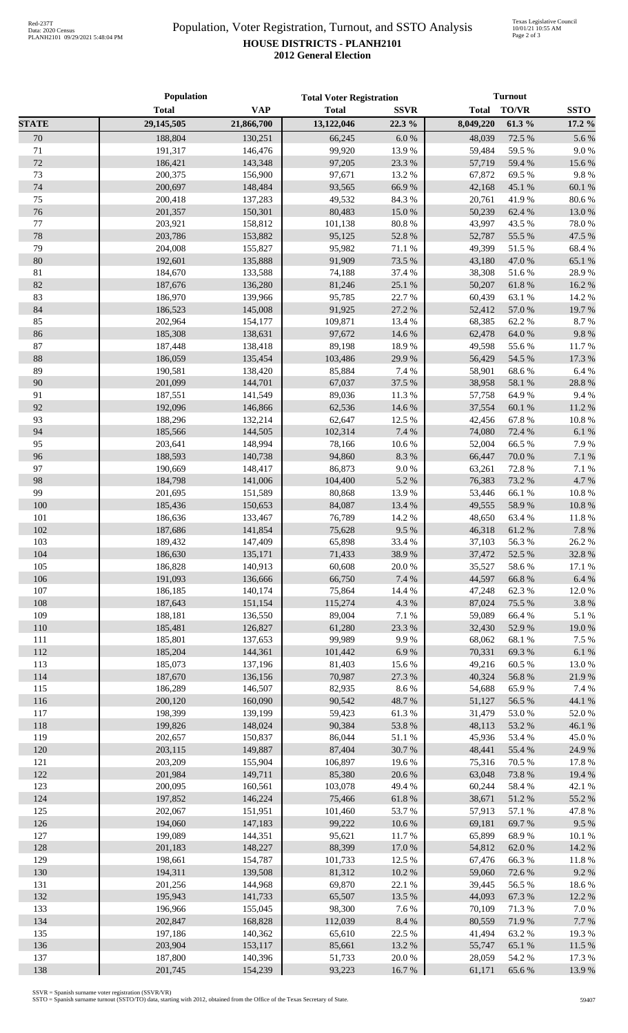## Population, Voter Registration, Turnout, and SSTO Analysis **HOUSE DISTRICTS - PLANH2101 2012 General Election**

|              | Population         |                    | <b>Total Voter Registration</b> |                  | <b>Turnout</b>   |                 |                 |
|--------------|--------------------|--------------------|---------------------------------|------------------|------------------|-----------------|-----------------|
|              | <b>Total</b>       | <b>VAP</b>         | <b>Total</b>                    | <b>SSVR</b>      | <b>Total</b>     | <b>TO/VR</b>    | <b>SSTO</b>     |
| <b>STATE</b> | 29,145,505         | 21,866,700         | 13,122,046                      | 22.3 %           | 8,049,220        | 61.3%           | 17.2 %          |
| 70           | 188,804            | 130,251            | 66,245                          | $6.0\ \%$        | 48,039           | 72.5 %          | 5.6%            |
| 71           | 191,317            | 146,476            | 99,920                          | 13.9%            | 59,484           | 59.5 %          | 9.0%            |
| 72           | 186,421            | 143,348            | 97,205                          | 23.3 %           | 57,719           | 59.4 %          | 15.6%           |
| 73           | 200,375            | 156,900            | 97,671                          | 13.2 %           | 67,872           | 69.5%           | 9.8%            |
| 74           | 200,697            | 148,484            | 93,565                          | 66.9%            | 42,168           | 45.1 %          | 60.1 %          |
| 75           | 200,418            | 137,283            | 49,532                          | 84.3%            | 20,761           | 41.9%           | 80.6%           |
| 76           | 201,357            | 150,301            | 80,483                          | 15.0%            | 50,239           | 62.4 %          | 13.0%           |
| 77           | 203,921            | 158,812            | 101,138                         | $80.8\ \%$       | 43,997           | 43.5 %          | 78.0%           |
| 78           | 203,786            | 153,882            | 95,125                          | 52.8%            | 52,787           | 55.5 %          | 47.5 %          |
| 79           | 204,008            | 155,827            | 95,982                          | $71.1\text{ }\%$ | 49,399           | 51.5 %          | 68.4%           |
| 80           | 192,601            | 135,888            | 91,909                          | 73.5 %           | 43,180           | 47.0%           | 65.1%           |
| 81           | 184,670            | 133,588            | 74,188                          | 37.4 %           | 38,308           | 51.6%           | 28.9%           |
| 82           | 187,676            | 136,280            | 81,246                          | 25.1 %           | 50,207           | 61.8%           | 16.2%           |
| 83           | 186,970            | 139,966            | 95,785                          | 22.7%            | 60,439           | 63.1 %          | 14.2 %          |
| 84           | 186,523            | 145,008            | 91,925                          | 27.2 %           | 52,412           | 57.0%           | 19.7%           |
| 85           | 202,964            | 154,177            | 109,871                         | 13.4 %           | 68,385           | 62.2%           | 8.7%            |
| 86           | 185,308            | 138,631            | 97,672                          | 14.6 %           | 62,478           | 64.0%           | 9.8%            |
| 87           | 187,448            | 138,418            | 89,198                          | 18.9%            | 49,598           | 55.6%           | 11.7%           |
| 88           | 186,059            | 135,454            | 103,486                         | 29.9%            | 56,429           | 54.5 %          | 17.3 %          |
| 89           | 190,581            | 138,420            | 85,884                          | 7.4 %            | 58,901           | 68.6%           | 6.4 %           |
| 90           | 201,099            | 144,701            | 67,037                          | 37.5 %           | 38,958           | 58.1 %          | 28.8%           |
| 91           | 187,551            | 141,549            | 89,036                          | 11.3%            | 57,758           | 64.9%           | 9.4%            |
| 92           | 192,096            | 146,866            | 62,536                          | 14.6 %           | 37,554           | 60.1%           | 11.2%           |
| 93           | 188,296            | 132,214            | 62,647                          | 12.5 %           | 42,456           | 67.8%           | 10.8%           |
| 94           | 185,566            | 144,505            | 102,314                         | 7.4 %            | 74,080           | 72.4 %          | 6.1%            |
| 95           | 203,641            | 148,994            | 78,166                          | 10.6%            | 52,004           | 66.5%           | 7.9%            |
| 96           | 188,593            | 140,738            | 94,860                          | 8.3%             | 66,447           | 70.0%           | 7.1 %           |
| 97           | 190,669            | 148,417            | 86,873                          | $9.0\ \%$        | 63,261           | 72.8%           | 7.1 %           |
| 98           | 184,798            | 141,006            | 104,400                         | 5.2 %            | 76,383           | 73.2 %          | 4.7%            |
| 99           | 201,695            | 151,589            | 80,868                          | 13.9%            | 53,446           | 66.1%           | 10.8%           |
| 100          | 185,436            | 150,653            | 84,087                          | 13.4 %           | 49,555           | 58.9%           | 10.8%           |
| 101          |                    |                    | 76,789                          | 14.2 %           |                  |                 | 11.8 %          |
| 102          | 186,636<br>187,686 | 133,467<br>141,854 | 75,628                          | 9.5%             | 48,650           | 63.4 %<br>61.2% | 7.8%            |
| 103          |                    |                    | 65,898                          |                  | 46,318           |                 |                 |
| 104          | 189,432<br>186,630 | 147,409<br>135,171 | 71,433                          | 33.4 %<br>38.9%  | 37,103           | 56.3%           | 26.2%<br>32.8%  |
| 105          | 186,828            |                    | 60,608                          | 20.0%            | 37,472           | 52.5 %          |                 |
| 106          | 191,093            | 140,913<br>136,666 | 66,750                          | 7.4 %            | 35,527<br>44,597 | 58.6%           | 17.1 %<br>6.4 % |
| 107          | 186,185            | 140,174            |                                 |                  |                  | 66.8%           | 12.0%           |
|              |                    |                    | 75,864                          | 14.4 %<br>4.3 %  | 47,248           | 62.3%           |                 |
| 108          | 187,643            | 151,154            | 115,274                         |                  | 87,024           | 75.5 %          | 3.8%            |
| 109          | 188,181            | 136,550            | 89,004                          | 7.1 %            | 59,089           | 66.4%           | 5.1 %           |
| 110          | 185,481            | 126,827            | 61,280                          | 23.3 %           | 32,430           | 52.9%           | 19.0%           |
| 111          | 185,801            | 137,653            | 99,989                          | 9.9%             | 68,062           | 68.1%           | 7.5 %           |
| 112          | 185,204            | 144,361            | 101,442                         | $6.9~\%$         | 70,331           | 69.3 %          | 6.1 %           |
| 113          | 185,073            | 137,196            | 81,403                          | 15.6%            | 49,216           | 60.5%           | 13.0%           |
| 114          | 187,670            | 136,156            | 70,987                          | 27.3 %           | 40,324           | 56.8%           | 21.9%           |
| 115          | 186,289            | 146,507            | 82,935                          | 8.6 %            | 54,688           | 65.9%           | 7.4 %           |
| 116          | 200,120            | 160,090            | 90,542                          | 48.7%            | 51,127           | 56.5 %          | 44.1 %          |
| 117          | 198,399            | 139,199            | 59,423                          | 61.3%            | 31,479           | 53.0%           | 52.0%           |
| 118          | 199,826            | 148,024            | 90,384                          | 53.8%            | 48,113           | 53.2 %          | 46.1 %          |
| 119          | 202,657            | 150,837            | 86,044                          | 51.1%            | 45,936           | 53.4 %          | 45.0%           |
| 120          | 203,115            | 149,887            | 87,404                          | 30.7 %           | 48,441           | 55.4 %          | 24.9%           |
| 121          | 203,209            | 155,904            | 106,897                         | 19.6 %           | 75,316           | 70.5 %          | 17.8 %          |
| 122          | 201,984            | 149,711            | 85,380                          | 20.6 %           | 63,048           | 73.8%           | 19.4 %          |
| 123          | 200,095            | 160,561            | 103,078                         | 49.4 %           | 60,244           | 58.4%           | 42.1 %          |
| 124          | 197,852            | 146,224            | 75,466                          | $61.8\ \%$       | 38,671           | 51.2%           | 55.2 %          |
| 125          | 202,067            | 151,951            | 101,460                         | 53.7%            | 57,913           | 57.1 %          | 47.8%           |
| 126          | 194,060            | 147,183            | 99,222                          | 10.6 %           | 69,181           | 69.7%           | 9.5%            |
| 127          | 199,089            | 144,351            | 95,621                          | 11.7%            | 65,899           | 68.9%           | 10.1%           |
| 128          | 201,183            | 148,227            | 88,399                          | $17.0\ \%$       | 54,812           | 62.0%           | 14.2 %          |
| 129          | 198,661            | 154,787            | 101,733                         | 12.5 %           | 67,476           | 66.3%           | 11.8%           |
| 130          | 194,311            | 139,508            | 81,312                          | 10.2 %           | 59,060           | 72.6%           | 9.2%            |
| 131          | 201,256            | 144,968            | 69,870                          | 22.1 %           | 39,445           | 56.5 %          | 18.6%           |
| 132          | 195,943            | 141,733            | 65,507                          | 13.5 %           | 44,093           | 67.3 %          | 12.2 %          |
| 133          | 196,966            | 155,045            | 98,300                          | 7.6%             | 70,109           | 71.3 %          | 7.0%            |
| 134          | 202,847            | 168,828            | 112,039                         | 8.4 %            | 80,559           | 71.9%           | 7.7%            |
| 135          | 197,186            | 140,362            | 65,610                          | 22.5 %           | 41,494           | 63.2 %          | 19.3%           |
| 136          | 203,904            | 153,117            | 85,661                          | 13.2 %           | 55,747           | 65.1 %          | 11.5 %          |
| 137          | 187,800            | 140,396            | 51,733                          | 20.0%            | 28,059           | 54.2 %          | 17.3 %          |
| 138          | 201,745            | 154,239            | 93,223                          | 16.7%            | 61,171           | 65.6%           | 13.9%           |